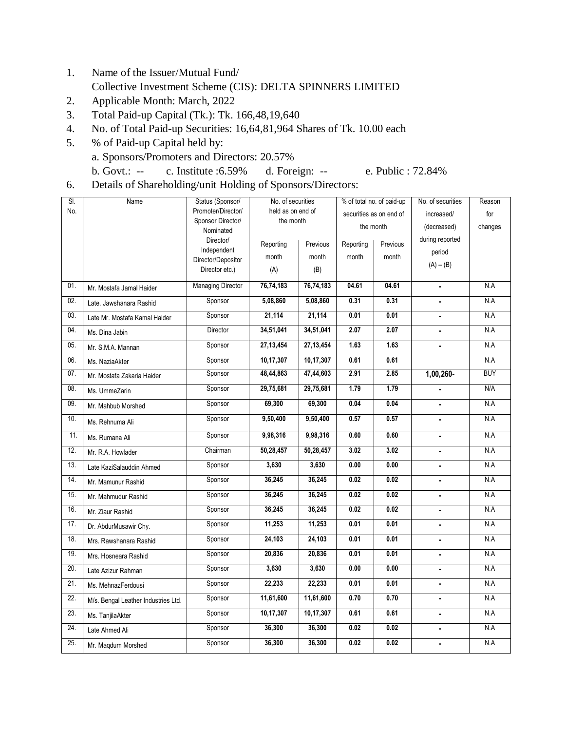- 1. Name of the Issuer/Mutual Fund/ Collective Investment Scheme (CIS): DELTA SPINNERS LIMITED
- 2. Applicable Month: March, 2022
- 3. Total Paid-up Capital (Tk.): Tk. 166,48,19,640
- 4. No. of Total Paid-up Securities: 16,64,81,964 Shares of Tk. 10.00 each
- 5. % of Paid-up Capital held by: a. Sponsors/Promoters and Directors: 20.57%

b. Govt.: -- c. Institute :6.59% d. Foreign: -- e. Public : 72.84%

6. Details of Shareholding/unit Holding of Sponsors/Directors:

| SI. | Name                                | Status (Sponsor/                     | No. of securities     |             | % of total no. of paid-up |       | No. of securities | Reason     |
|-----|-------------------------------------|--------------------------------------|-----------------------|-------------|---------------------------|-------|-------------------|------------|
| No. |                                     | Promoter/Director/                   | held as on end of     |             | securities as on end of   |       | increased/        | for        |
|     |                                     | Sponsor Director/<br>Nominated       | the month             |             | the month                 |       | (decreased)       | changes    |
|     |                                     | Director/                            | Reporting<br>Previous |             | Reporting<br>Previous     |       | during reported   |            |
|     |                                     | Independent                          | month                 | month       | month                     | month | period            |            |
|     |                                     | Director/Depositor<br>Director etc.) | (A)                   | (B)         |                           |       | $(A) - (B)$       |            |
|     |                                     |                                      |                       |             |                           |       |                   |            |
| 01. | Mr. Mostafa Jamal Haider            | <b>Managing Director</b>             | 76,74,183             | 76,74,183   | 04.61                     | 04.61 | $\blacksquare$    | N.A        |
| 02. | Late. Jawshanara Rashid             | Sponsor                              | 5,08,860              | 5,08,860    | 0.31                      | 0.31  | ä,                | N.A        |
| 03. | Late Mr. Mostafa Kamal Haider       | Sponsor                              | 21,114                | 21,114      | 0.01                      | 0.01  |                   | N.A        |
| 04. | Ms. Dina Jabin                      | Director                             | 34,51,041             | 34,51,041   | 2.07                      | 2.07  | ä,                | N.A        |
| 05. | Mr. S.M.A. Mannan                   | Sponsor                              | 27,13,454             | 27, 13, 454 | 1.63                      | 1.63  |                   | N.A        |
| 06. | Ms. NaziaAkter                      | Sponsor                              | 10,17,307             | 10,17,307   | 0.61                      | 0.61  |                   | N.A        |
| 07. | Mr. Mostafa Zakaria Haider          | Sponsor                              | 48,44,863             | 47,44,603   | 2.91                      | 2.85  | $1,00,260-$       | <b>BUY</b> |
| 08. | Ms. UmmeZarin                       | Sponsor                              | 29,75,681             | 29,75,681   | 1.79                      | 1.79  |                   | N/A        |
| 09. | Mr. Mahbub Morshed                  | Sponsor                              | 69,300                | 69,300      | 0.04                      | 0.04  | ä,                | N.A        |
| 10. | Ms. Rehnuma Ali                     | Sponsor                              | 9,50,400              | 9,50,400    | 0.57                      | 0.57  |                   | N.A        |
| 11. | Ms. Rumana Ali                      | Sponsor                              | 9,98,316              | 9,98,316    | 0.60                      | 0.60  | ÷.                | N.A        |
| 12. | Mr. R.A. Howlader                   | Chairman                             | 50,28,457             | 50,28,457   | 3.02                      | 3.02  |                   | N.A        |
| 13. | Late KaziSalauddin Ahmed            | Sponsor                              | 3,630                 | 3,630       | 0.00                      | 0.00  | $\blacksquare$    | N.A        |
| 14. | Mr. Mamunur Rashid                  | Sponsor                              | 36,245                | 36,245      | 0.02                      | 0.02  |                   | N.A        |
| 15. | Mr. Mahmudur Rashid                 | Sponsor                              | 36,245                | 36,245      | 0.02                      | 0.02  |                   | N.A        |
| 16. | Mr. Ziaur Rashid                    | Sponsor                              | 36,245                | 36,245      | 0.02                      | 0.02  | ä,                | N.A        |
| 17. | Dr. AbdurMusawir Chy.               | Sponsor                              | 11,253                | 11,253      | 0.01                      | 0.01  | $\blacksquare$    | N.A        |
| 18. | Mrs. Rawshanara Rashid              | Sponsor                              | 24,103                | 24,103      | 0.01                      | 0.01  | $\blacksquare$    | N.A        |
| 19. | Mrs. Hosneara Rashid                | Sponsor                              | 20,836                | 20,836      | 0.01                      | 0.01  |                   | N.A        |
| 20. | Late Azizur Rahman                  | Sponsor                              | 3,630                 | 3,630       | 0.00                      | 0.00  |                   | N.A        |
| 21. | Ms. MehnazFerdousi                  | Sponsor                              | 22,233                | 22,233      | 0.01                      | 0.01  |                   | N.A        |
| 22. | M/s. Bengal Leather Industries Ltd. | Sponsor                              | 11,61,600             | 11,61,600   | 0.70                      | 0.70  | $\blacksquare$    | N.A        |
| 23. | Ms. TanjilaAkter                    | Sponsor                              | 10,17,307             | 10,17,307   | 0.61                      | 0.61  | ÷.                | N.A        |
| 24. | Late Ahmed Ali                      | Sponsor                              | 36,300                | 36,300      | 0.02                      | 0.02  |                   | N.A        |
| 25. | Mr. Magdum Morshed                  | Sponsor                              | 36,300                | 36,300      | 0.02                      | 0.02  | $\blacksquare$    | N.A        |